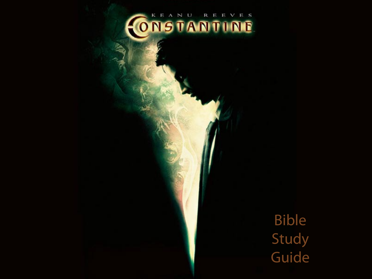# CONSTANTINE

Bible Study Guide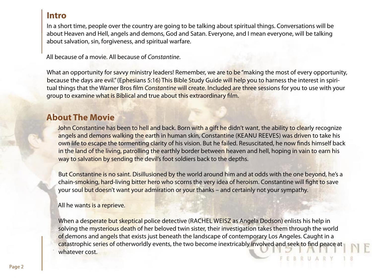### **Intro**

In a short time, people over the country are going to be talking about spiritual things. Conversations will be about Heaven and Hell, angels and demons, God and Satan. Everyone, and I mean everyone, will be talking about salvation, sin, forgiveness, and spiritual warfare.

All because of a movie. All because of Constantine.

What an opportunity for savvy ministry leaders! Remember, we are to be "making the most of every opportunity, because the days are evil." (Ephesians 5:16) This Bible Study Guide will help you to harness the interest in spiritual things that the Warner Bros film Constantine will create. Included are three sessions for you to use with your group to examine what is Biblical and true about this extraordinary film.

## **About The Movie**

John Constantine has been to hell and back. Born with a gift he didn't want, the ability to clearly recognize angels and demons walking the earth in human skin, Constantine (KEANU REEVES) was driven to take his own life to escape the tormenting clarity of his vision. But he failed. Resuscitated, he now finds himself back in the land of the living, patrolling the earthly border between heaven and hell, hoping in vain to earn his way to salvation by sending the devil's foot soldiers back to the depths.

But Constantine is no saint. Disillusioned by the world around him and at odds with the one beyond, he's a chain-smoking, hard-living bitter hero who scorns the very idea of heroism. Constantine will fight to save your soul but doesn't want your admiration or your thanks – and certainly not your sympathy.

All he wants is a reprieve.

When a desperate but skeptical police detective (RACHEL WEISZ as Angela Dodson) enlists his help in solving the mysterious death of her beloved twin sister, their investigation takes them through the world of demons and angels that exists just beneath the landscape of contemporary Los Angeles. Caught in a catastrophic series of otherworldly events, the two become inextricably involved and seek to find peace at whatever cost.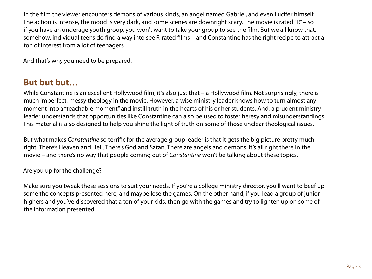In the film the viewer encounters demons of various kinds, an angel named Gabriel, and even Lucifer himself. The action is intense, the mood is very dark, and some scenes are downright scary. The movie is rated "R" – so if you have an underage youth group, you won't want to take your group to see the film. But we all know that, somehow, individual teens do find a way into see R-rated films – and Constantine has the right recipe to attract a ton of interest from a lot of teenagers.

And that's why you need to be prepared.

# **But but but…**

While Constantine is an excellent Hollywood film, it's also just that – a Hollywood film. Not surprisingly, there is much imperfect, messy theology in the movie. However, a wise ministry leader knows how to turn almost any moment into a "teachable moment" and instill truth in the hearts of his or her students. And, a prudent ministry leader understands that opportunities like Constantine can also be used to foster heresy and misunderstandings. This material is also designed to help you shine the light of truth on some of those unclear theological issues.

But what makes Constantine so terrific for the average group leader is that it gets the big picture pretty much right. There's Heaven and Hell. There's God and Satan. There are angels and demons. It's all right there in the movie – and there's no way that people coming out of Constantine won't be talking about these topics.

Are you up for the challenge?

Make sure you tweak these sessions to suit your needs. If you're a college ministry director, you'll want to beef up some the concepts presented here, and maybe lose the games. On the other hand, if you lead a group of junior highers and you've discovered that a ton of your kids, then go with the games and try to lighten up on some of the information presented.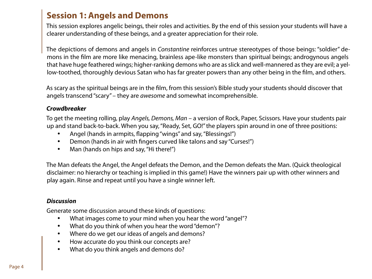# **Session 1: Angels and Demons**

This session explores angelic beings, their roles and activities. By the end of this session your students will have a clearer understanding of these beings, and a greater appreciation for their role.

The depictions of demons and angels in Constantine reinforces untrue stereotypes of those beings: "soldier" demons in the film are more like menacing, brainless ape-like monsters than spiritual beings; androgynous angels that have huge feathered wings; higher-ranking demons who are as slick and well-mannered as they are evil; a yellow-toothed, thoroughly devious Satan who has far greater powers than any other being in the film, and others.

As scary as the spiritual beings are in the film, from this session's Bible study your students should discover that angels transcend "scary" – they are awesome and somewhat incomprehensible.

#### **Crowdbreaker**

To get the meeting rolling, play Angels, Demons, Man – a version of Rock, Paper, Scissors. Have your students pair up and stand back-to-back. When you say, "Ready, Set, GO!" the players spin around in one of three positions:

- Angel (hands in armpits, flapping "wings" and say, "Blessings!")
- Demon (hands in air with fingers curved like talons and say "Curses!")
- Man (hands on hips and say, "Hi there!")

The Man defeats the Angel, the Angel defeats the Demon, and the Demon defeats the Man. (Quick theological disclaimer: no hierarchy or teaching is implied in this game!) Have the winners pair up with other winners and play again. Rinse and repeat until you have a single winner left.

#### **Discussion**

Generate some discussion around these kinds of questions:

- What images come to your mind when you hear the word "angel"?
- What do you think of when you hear the word "demon"?
- Where do we get our ideas of angels and demons?
- How accurate do you think our concepts are?
- What do you think angels and demons do?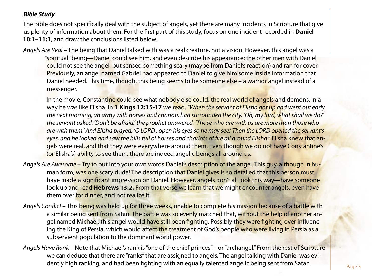#### **Bible Study**

The Bible does not specifically deal with the subject of angels, yet there are many incidents in Scripture that give us plenty of information about them. For the first part of this study, focus on one incident recorded in **Daniel 10:1–11:1**, and draw the conclusions listed below.

Angels Are Real – The being that Daniel talked with was a real creature, not a vision. However, this angel was a "spiritual" being—Daniel could see him, and even describe his appearance; the other men with Daniel could not see the angel, but sensed something scary (maybe from Daniel's reaction) and ran for cover. Previously, an angel named Gabriel had appeared to Daniel to give him some inside information that Daniel needed. This time, though, this being seems to be someone else – a warrior angel instead of a messenger.

In the movie, Constantine could see what nobody else could: the real world of angels and demons. In a way he was like Elisha. In **1 Kings 12:15-17** we read, "When the servant of Elisha got up and went out early the next morning, an army with horses and chariots had surrounded the city. 'Oh, my lord, what shall we do?' the servant asked. 'Don't be afraid,' the prophet answered. Those who are with us are more than those who are with them.' And Elisha prayed, 'O LORD, open his eyes so he may see.' Then the LORD opened the servant's eyes, and he looked and saw the hills full of horses and chariots of fire all around Elisha." Elisha knew that angels were real, and that they were everywhere around them. Even though we do not have Constantine's (or Elisha's) ability to see them, there are indeed angelic beings all around us.

- Angels Are Awesome Try to put into your own words Daniel's description of the angel. This guy, although in human form, was one scary dude! The description that Daniel gives is so detailed that this person must have made a significant impression on Daniel. However, angels don't all look this way—have someone look up and read **Hebrews 13:2.** From that verse we learn that we might encounter angels, even have them over for dinner, and not realize it.
- Angels Conflict This being was held up for three weeks, unable to complete his mission because of a battle with a similar being sent from Satan. The battle was so evenly matched that, without the help of another angel named Michael, this angel would have still been fighting. Possibly they were fighting over influencing the King of Persia, which would affect the treatment of God's people who were living in Persia as a subservient population to the dominant world power.
- Angels Have Rank Note that Michael's rank is "one of the chief princes" or "archangel." From the rest of Scripture we can deduce that there are "ranks" that are assigned to angels. The angel talking with Daniel was evidently high ranking, and had been fighting with an equally talented angelic being sent from Satan.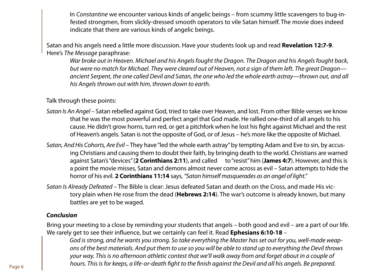In Constantine we encounter various kinds of angelic beings – from scummy little scavengers to bug-infested strongmen, from slickly-dressed smooth operators to vile Satan himself. The movie does indeed indicate that there are various kinds of angelic beings.

Satan and his angels need a little more discussion. Have your students look up and read **Revelation 12:7-9**. Here's The Message paraphrase:

War broke out in Heaven. Michael and his Angels fought the Dragon. The Dragon and his Angels fought back, but were no match for Michael. They were cleared out of Heaven, not a sign of them left. The great Dragon ancient Serpent, the one called Devil and Satan, the one who led the whole earth astray—thrown out, and all his Angels thrown out with him, thrown down to earth.

Talk through these points:

- Satan Is An Angel Satan rebelled against God, tried to take over Heaven, and lost. From other Bible verses we know that he was the most powerful and perfect angel that God made. He rallied one-third of all angels to his cause. He didn't grow horns, turn red, or get a pitchfork when he lost his fight against Michael and the rest of Heaven's angels. Satan is not the opposite of God, or of Jesus – he's more like the opposite of Michael.
- Satan, And His Cohorts, Are Evil They have "led the whole earth astray" by tempting Adam and Eve to sin, by accusing Christians and causing them to doubt their faith, by bringing death to the world. Christians are warned against Satan's "devices" (**2 Corinthians 2:11**), and called to "resist" him (**James 4:7**). However, and this is a point the movie misses, Satan and demons almost never come across as evil – Satan attempts to hide the horror of his evil. **2 Corinthians 11:14** says, "Satan himself masquerades as an angel of light."
- Satan Is Already Defeated The Bible is clear: Jesus defeated Satan and death on the Cross, and made His victory plain when He rose from the dead (**Hebrews 2:14**). The war's outcome is already known, but many battles are yet to be waged.

#### **Conclusion**

Bring your meeting to a close by reminding your students that angels – both good and evil – are a part of our life. We rarely get to see their influence, but we certainly can feel it. Read **Ephesians 6:10-18** –

God is strong, and he wants you strong. So take everything the Master has set out for you, well-made weapons of the best materials. And put them to use so you will be able to stand up to everything the Devil throws your way. This is no afternoon athletic contest that we'll walk away from and forget about in a couple of hours. This is for keeps, a life-or-death fight to the finish against the Devil and all his angels. Be prepared.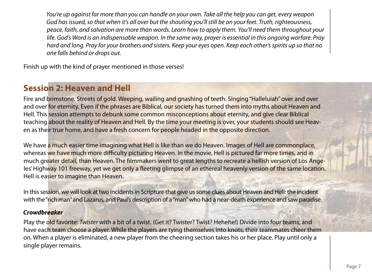You're up against far more than you can handle on your own. Take all the help you can get, every weapon God has issued, so that when it's all over but the shouting you'll still be on your feet. Truth, righteousness, peace, faith, and salvation are more than words. Learn how to apply them. You'll need them throughout your life. God's Word is an indispensable weapon. In the same way, prayer is essential in this ongoing warfare. Pray hard and long. Pray for your brothers and sisters. Keep your eyes open. Keep each other's spirits up so that no one falls behind or drops out.

Finish up with the kind of prayer mentioned in those verses!

# **Session 2: Heaven and Hell**

Fire and brimstone. Streets of gold. Weeping, wailing and gnashing of teeth. Singing "Halleluiah" over and over and over for eternity. Even if the phrases are Biblical, our society has turned them into myths about Heaven and Hell. This session attempts to debunk some common misconceptions about eternity, and give clear Biblical teaching about the reality of Heaven and Hell. By the time your meeting is over, your students should see Heaven as their true home, and have a fresh concern for people headed in the opposite direction.

We have a much easier time imagining what Hell is like than we do Heaven. Images of Hell are commonplace, whereas we have much more difficulty picturing Heaven. In the movie, Hell is pictured far more times, and in much greater detail, than Heaven. The filmmakers went to great lengths to recreate a hellish version of Los Angeles' Highway 101 freeway, yet we get only a fleeting glimpse of an ethereal heavenly version of the same location. Hell is easier to imagine than Heaven.

In this session, we will look at two incidents in Scripture that give us some clues about Heaven and Hell: the incident with the "rich man" and Lazarus, and Paul's description of a "man" who had a near-death experience and saw paradise.

#### **Crowdbreaker**

Play the old favorite: Twister with a bit of a twist. (Get it? Twister? Twist? Hehehe!) Divide into four teams, and have each team choose a player. While the players are tying themselves into knots, their teammates cheer them on. When a player is eliminated, a new player from the cheering section takes his or her place. Play until only a single player remains.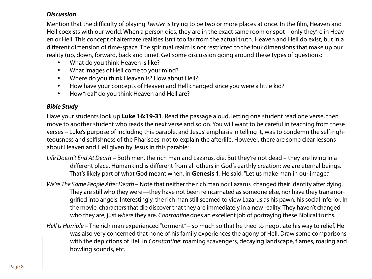#### **Discussion**

Mention that the difficulty of playing Twister is trying to be two or more places at once. In the film, Heaven and Hell coexists with our world. When a person dies, they are in the exact same room or spot – only they're in Heaven or Hell. This concept of alternate realities isn't too far from the actual truth. Heaven and Hell do exist, but in a different dimension of time-space. The spiritual realm is not restricted to the four dimensions that make up our reality (up, down, forward, back and time). Get some discussion going around these types of questions:

- What do you think Heaven is like?
- What images of Hell come to your mind?
- Where do you think Heaven is? How about Hell?
- How have your concepts of Heaven and Hell changed since you were a little kid?
- How "real" do you think Heaven and Hell are?

#### **Bible Study**

Have your students look up **Luke 16:19-31**. Read the passage aloud, letting one student read one verse, then move to another student who reads the next verse and so on. You will want to be careful in teaching from these verses – Luke's purpose of including this parable, and Jesus' emphasis in telling it, was to condemn the self-righteousness and selfishness of the Pharisees, not to explain the afterlife. However, there are some clear lessons about Heaven and Hell given by Jesus in this parable:

- Life Doesn't End At Death Both men, the rich man and Lazarus, die. But they're not dead they are living in a different place. Humankind is different from all others in God's earthly creation: we are eternal beings. That's likely part of what God meant when, in **Genesis 1**, He said, "Let us make man in our image."
- We're The Same People After Death Note that neither the rich man nor Lazarus changed their identity after dying. They are still who they were—they have not been reincarnated as someone else, nor have they transmorgrified into angels. Interestingly, the rich man still seemed to view Lazarus as his pawn, his social inferior. In the movie, characters that die discover that they are immediately in a new reality. They haven't changed who they are, just where they are. Constantine does an excellent job of portraying these Biblical truths.
- Hell Is Horrible The rich man experienced "torment" so much so that he tried to negotiate his way to relief. He was also very concerned that none of his family experiences the agony of Hell. Draw some comparisons with the depictions of Hell in Constantine: roaming scavengers, decaying landscape, flames, roaring and howling sounds, etc.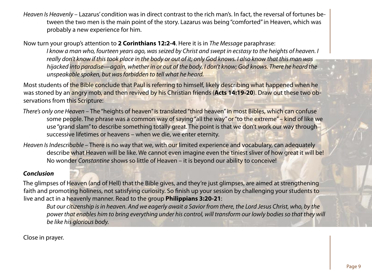Heaven Is Heavenly – Lazarus' condition was in direct contrast to the rich man's. In fact, the reversal of fortunes between the two men is the main point of the story. Lazarus was being "comforted" in Heaven, which was probably a new experience for him.

Now turn your group's attention to **2 Corinthians 12:2-4**. Here it is in The Message paraphrase:

I know a man who, fourteen years ago, was seized by Christ and swept in ecstasy to the heights of heaven. I really don't know if this took place in the body or out of it; only God knows. I also know that this man was hijacked into paradise—again, whether in or out of the body, I don't know; God knows. There he heard the unspeakable spoken, but was forbidden to tell what he heard.

Most students of the Bible conclude that Paul is referring to himself, likely describing what happened when he was stoned by an angry mob, and then revived by his Christian friends (**Acts 14:19-20**). Draw out these two observations from this Scripture:

- There's only one Heaven The "heights of heaven" is translated "third heaven" in most Bibles, which can confuse some people. The phrase was a common way of saying "all the way" or "to the extreme" – kind of like we use "grand slam" to describe something totally great. The point is that we don't work our way through successive lifetimes or heavens – when we die, we enter eternity.
- Heaven Is Indescribable There is no way that we, with our limited experience and vocabulary, can adequately describe what Heaven will be like. We cannot even imagine even the tiniest sliver of how great it will be! No wonder Constantine shows so little of Heaven – it is beyond our ability to conceive!

#### **Conclusion**

The glimpses of Heaven (and of Hell) that the Bible gives, and they're just glimpses, are aimed at strengthening faith and promoting holiness, not satisfying curiosity. So finish up your session by challenging your students to live and act in a heavenly manner. Read to the group **Philippians 3:20-21**:

But our citizenship is in heaven. And we eagerly await a Savior from there, the Lord Jesus Christ, who, by the power that enables him to bring everything under his control, will transform our lowly bodies so that they will be like his glorious body.

Close in prayer.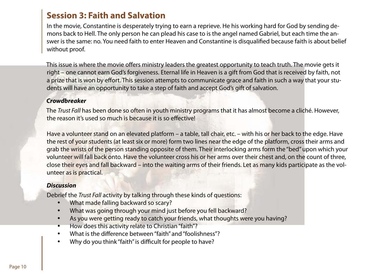# **Session 3: Faith and Salvation**

In the movie, Constantine is desperately trying to earn a reprieve. He his working hard for God by sending demons back to Hell. The only person he can plead his case to is the angel named Gabriel, but each time the answer is the same: no. You need faith to enter Heaven and Constantine is disqualified because faith is about belief without proof.

This issue is where the movie offers ministry leaders the greatest opportunity to teach truth. The movie gets it right – one cannot earn God's forgiveness. Eternal life in Heaven is a gift from God that is received by faith, not a prize that is won by effort. This session attempts to communicate grace and faith in such a way that your students will have an opportunity to take a step of faith and accept God's gift of salvation.

#### **Crowdbreaker**

The Trust Fall has been done so often in youth ministry programs that it has almost become a cliché. However, the reason it's used so much is because it is so effective!

Have a volunteer stand on an elevated platform – a table, tall chair, etc. – with his or her back to the edge. Have the rest of your students (at least six or more) form two lines near the edge of the platform, cross their arms and grab the wrists of the person standing opposite of them. Their interlocking arms form the "bed" upon which your volunteer will fall back onto. Have the volunteer cross his or her arms over their chest and, on the count of three, close their eyes and fall backward – into the waiting arms of their friends. Let as many kids participate as the volunteer as is practical.

#### **Discussion**

Debrief the Trust Fall activity by talking through these kinds of questions:

- What made falling backward so scary?
- What was going through your mind just before you fell backward?
- As you were getting ready to catch your friends, what thoughts were you having?
- How does this activity relate to Christian "faith"?
- What is the difference between "faith" and "foolishness"?
- Why do you think "faith" is difficult for people to have?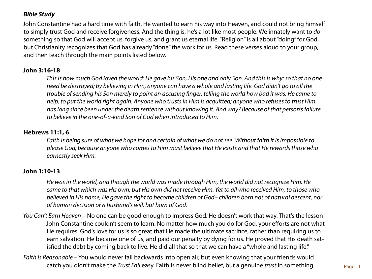#### **Bible Study**

John Constantine had a hard time with faith. He wanted to earn his way into Heaven, and could not bring himself to simply trust God and receive forgiveness. And the thing is, he's a lot like most people. We innately want to do something so that God will accept us, forgive us, and grant us eternal life. "Religion" is all about "doing" for God, but Christianity recognizes that God has already "done" the work for us. Read these verses aloud to your group, and then teach through the main points listed below.

#### **John 3:16-18**

This is how much God loved the world: He gave his Son, His one and only Son. And this is why: so that no one need be destroyed; by believing in Him, anyone can have a whole and lasting life. God didn't go to all the trouble of sending his Son merely to point an accusing finger, telling the world how bad it was. He came to help, to put the world right again. Anyone who trusts in Him is acquitted; anyone who refuses to trust Him has long since been under the death sentence without knowing it. And why? Because of that person's failure to believe in the one-of-a-kind Son of God when introduced to Him.

#### **Hebrews 11:1, 6**

Faith is being sure of what we hope for and certain of what we do not see. Without faith it is impossible to please God, because anyone who comes to Him must believe that He exists and that He rewards those who earnestly seek Him.

#### **John 1:10-13**

He was in the world, and though the world was made through Him, the world did not recognize Him. He came to that which was His own, but His own did not receive Him. Yet to all who received Him, to those who believed in His name, He gave the right to become children of God– children born not of natural descent, nor of human decision or a husband's will, but born of God.

- You Can't Earn Heaven No one can be good enough to impress God. He doesn't work that way. That's the lesson John Constantine couldn't seem to learn. No matter how much you do for God, your efforts are not what He requires. God's love for us is so great that He made the ultimate sacrifice, rather than requiring us to earn salvation. He became one of us, and paid our penalty by dying for us. He proved that His death satisfied the debt by coming back to live. He did all that so that we can have a "whole and lasting life."
- Faith Is Reasonable You would never fall backwards into open air, but even knowing that your friends would catch you didn't make the Trust Fall easy. Faith is never blind belief, but a genuine trust in something